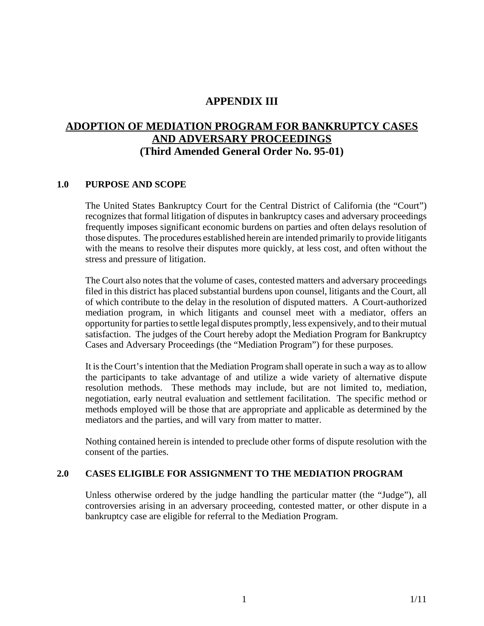# **APPENDIX III**

# **ADOPTION OF MEDIATION PROGRAM FOR BANKRUPTCY CASES AND ADVERSARY PROCEEDINGS (Third Amended General Order No. 95-01)**

#### **1.0 PURPOSE AND SCOPE**

The United States Bankruptcy Court for the Central District of California (the "Court") recognizes that formal litigation of disputes in bankruptcy cases and adversary proceedings frequently imposes significant economic burdens on parties and often delays resolution of those disputes. The procedures established herein are intended primarily to provide litigants with the means to resolve their disputes more quickly, at less cost, and often without the stress and pressure of litigation.

The Court also notes that the volume of cases, contested matters and adversary proceedings filed in this district has placed substantial burdens upon counsel, litigants and the Court, all of which contribute to the delay in the resolution of disputed matters. A Court-authorized mediation program, in which litigants and counsel meet with a mediator, offers an opportunity for parties to settle legal disputes promptly, less expensively, and to their mutual satisfaction. The judges of the Court hereby adopt the Mediation Program for Bankruptcy Cases and Adversary Proceedings (the "Mediation Program") for these purposes.

It is the Court's intention that the Mediation Program shall operate in such a way as to allow the participants to take advantage of and utilize a wide variety of alternative dispute resolution methods. These methods may include, but are not limited to, mediation, negotiation, early neutral evaluation and settlement facilitation. The specific method or methods employed will be those that are appropriate and applicable as determined by the mediators and the parties, and will vary from matter to matter.

Nothing contained herein is intended to preclude other forms of dispute resolution with the consent of the parties.

#### **2.0 CASES ELIGIBLE FOR ASSIGNMENT TO THE MEDIATION PROGRAM**

Unless otherwise ordered by the judge handling the particular matter (the "Judge"), all controversies arising in an adversary proceeding, contested matter, or other dispute in a bankruptcy case are eligible for referral to the Mediation Program.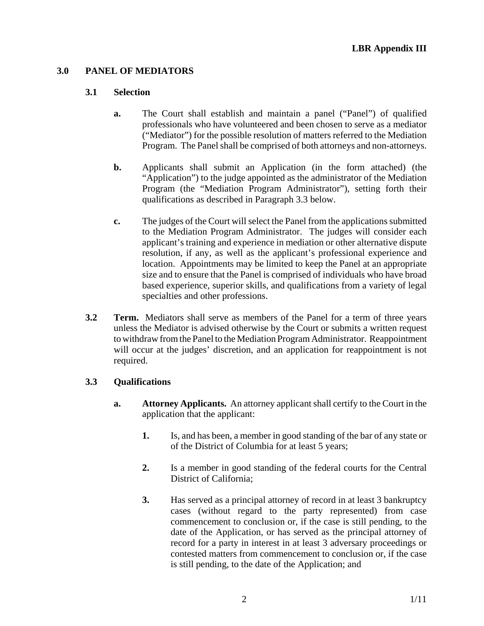### **3.0 PANEL OF MEDIATORS**

### **3.1 Selection**

- **a.** The Court shall establish and maintain a panel ("Panel") of qualified professionals who have volunteered and been chosen to serve as a mediator ("Mediator") for the possible resolution of matters referred to the Mediation Program. The Panel shall be comprised of both attorneys and non-attorneys.
- **b.** Applicants shall submit an Application (in the form attached) (the "Application") to the judge appointed as the administrator of the Mediation Program (the "Mediation Program Administrator"), setting forth their qualifications as described in Paragraph 3.3 below.
- **c.** The judges of the Court will select the Panel from the applications submitted to the Mediation Program Administrator. The judges will consider each applicant's training and experience in mediation or other alternative dispute resolution, if any, as well as the applicant's professional experience and location. Appointments may be limited to keep the Panel at an appropriate size and to ensure that the Panel is comprised of individuals who have broad based experience, superior skills, and qualifications from a variety of legal specialties and other professions.
- **3.2 Term.** Mediators shall serve as members of the Panel for a term of three years unless the Mediator is advised otherwise by the Court or submits a written request to withdraw from the Panel to the Mediation Program Administrator. Reappointment will occur at the judges' discretion, and an application for reappointment is not required.

### **3.3 Qualifications**

- **a. Attorney Applicants.** An attorney applicant shall certify to the Court in the application that the applicant:
	- **1.** Is, and has been, a member in good standing of the bar of any state or of the District of Columbia for at least 5 years;
	- **2.** Is a member in good standing of the federal courts for the Central District of California;
	- **3.** Has served as a principal attorney of record in at least 3 bankruptcy cases (without regard to the party represented) from case commencement to conclusion or, if the case is still pending, to the date of the Application, or has served as the principal attorney of record for a party in interest in at least 3 adversary proceedings or contested matters from commencement to conclusion or, if the case is still pending, to the date of the Application; and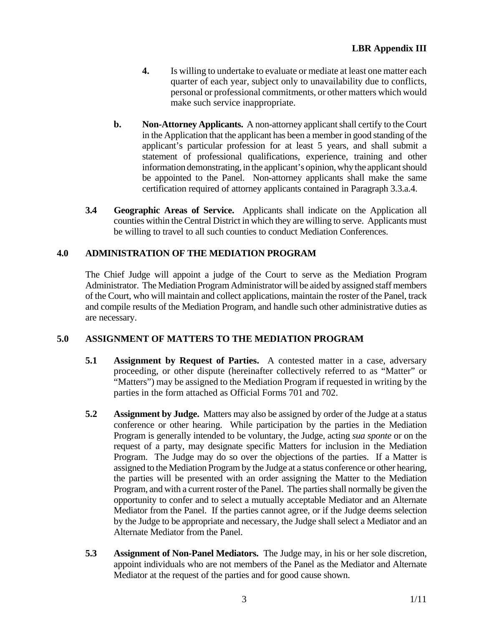- **4.** Is willing to undertake to evaluate or mediate at least one matter each quarter of each year, subject only to unavailability due to conflicts, personal or professional commitments, or other matters which would make such service inappropriate.
- **b. Non-Attorney Applicants.** A non-attorney applicant shall certify to the Court in the Application that the applicant has been a member in good standing of the applicant's particular profession for at least 5 years, and shall submit a statement of professional qualifications, experience, training and other information demonstrating, in the applicant's opinion, why the applicant should be appointed to the Panel. Non-attorney applicants shall make the same certification required of attorney applicants contained in Paragraph 3.3.a.4.
- **3.4 Geographic Areas of Service.** Applicants shall indicate on the Application all counties within the Central District in which they are willing to serve. Applicants must be willing to travel to all such counties to conduct Mediation Conferences.

# **4.0 ADMINISTRATION OF THE MEDIATION PROGRAM**

The Chief Judge will appoint a judge of the Court to serve as the Mediation Program Administrator. The Mediation Program Administrator will be aided by assigned staff members of the Court, who will maintain and collect applications, maintain the roster of the Panel, track and compile results of the Mediation Program, and handle such other administrative duties as are necessary.

# **5.0 ASSIGNMENT OF MATTERS TO THE MEDIATION PROGRAM**

- **5.1** Assignment by Request of Parties. A contested matter in a case, adversary proceeding, or other dispute (hereinafter collectively referred to as "Matter" or "Matters") may be assigned to the Mediation Program if requested in writing by the parties in the form attached as Official Forms 701 and 702.
- **5.2 Assignment by Judge.** Matters may also be assigned by order of the Judge at a status conference or other hearing. While participation by the parties in the Mediation Program is generally intended to be voluntary, the Judge, acting *sua sponte* or on the request of a party, may designate specific Matters for inclusion in the Mediation Program. The Judge may do so over the objections of the parties. If a Matter is assigned to the Mediation Program by the Judge at a status conference or other hearing, the parties will be presented with an order assigning the Matter to the Mediation Program, and with a current roster of the Panel. The parties shall normally be given the opportunity to confer and to select a mutually acceptable Mediator and an Alternate Mediator from the Panel. If the parties cannot agree, or if the Judge deems selection by the Judge to be appropriate and necessary, the Judge shall select a Mediator and an Alternate Mediator from the Panel.
- **5.3 Assignment of Non-Panel Mediators.** The Judge may, in his or her sole discretion, appoint individuals who are not members of the Panel as the Mediator and Alternate Mediator at the request of the parties and for good cause shown.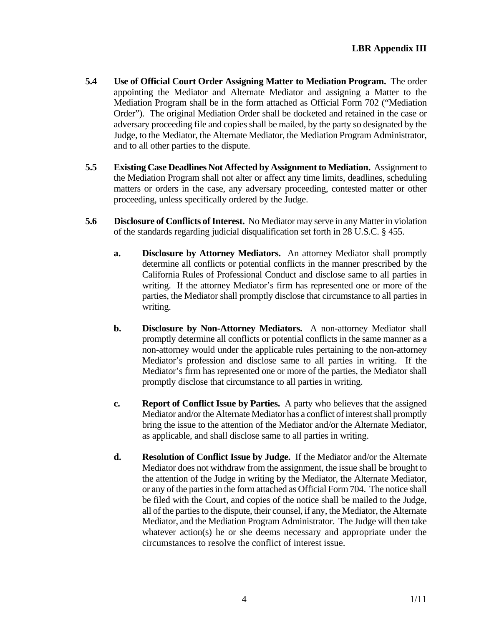- **5.4 Use of Official Court Order Assigning Matter to Mediation Program.** The order appointing the Mediator and Alternate Mediator and assigning a Matter to the Mediation Program shall be in the form attached as Official Form 702 ("Mediation Order"). The original Mediation Order shall be docketed and retained in the case or adversary proceeding file and copies shall be mailed, by the party so designated by the Judge, to the Mediator, the Alternate Mediator, the Mediation Program Administrator, and to all other parties to the dispute.
- **5.5 Existing Case Deadlines Not Affected by Assignment to Mediation.** Assignment to the Mediation Program shall not alter or affect any time limits, deadlines, scheduling matters or orders in the case, any adversary proceeding, contested matter or other proceeding, unless specifically ordered by the Judge.
- **5.6 Disclosure of Conflicts of Interest.** No Mediator may serve in any Matter in violation of the standards regarding judicial disqualification set forth in 28 U.S.C. § 455.
	- **a. Disclosure by Attorney Mediators.** An attorney Mediator shall promptly determine all conflicts or potential conflicts in the manner prescribed by the California Rules of Professional Conduct and disclose same to all parties in writing. If the attorney Mediator's firm has represented one or more of the parties, the Mediator shall promptly disclose that circumstance to all parties in writing.
	- **b. Disclosure by Non-Attorney Mediators.** A non-attorney Mediator shall promptly determine all conflicts or potential conflicts in the same manner as a non-attorney would under the applicable rules pertaining to the non-attorney Mediator's profession and disclose same to all parties in writing. If the Mediator's firm has represented one or more of the parties, the Mediator shall promptly disclose that circumstance to all parties in writing.
	- **c. Report of Conflict Issue by Parties.** A party who believes that the assigned Mediator and/or the Alternate Mediator has a conflict of interest shall promptly bring the issue to the attention of the Mediator and/or the Alternate Mediator, as applicable, and shall disclose same to all parties in writing.
	- **d. Resolution of Conflict Issue by Judge.** If the Mediator and/or the Alternate Mediator does not withdraw from the assignment, the issue shall be brought to the attention of the Judge in writing by the Mediator, the Alternate Mediator, or any of the parties in the form attached as Official Form 704. The notice shall be filed with the Court, and copies of the notice shall be mailed to the Judge, all of the parties to the dispute, their counsel, if any, the Mediator, the Alternate Mediator, and the Mediation Program Administrator. The Judge will then take whatever action(s) he or she deems necessary and appropriate under the circumstances to resolve the conflict of interest issue.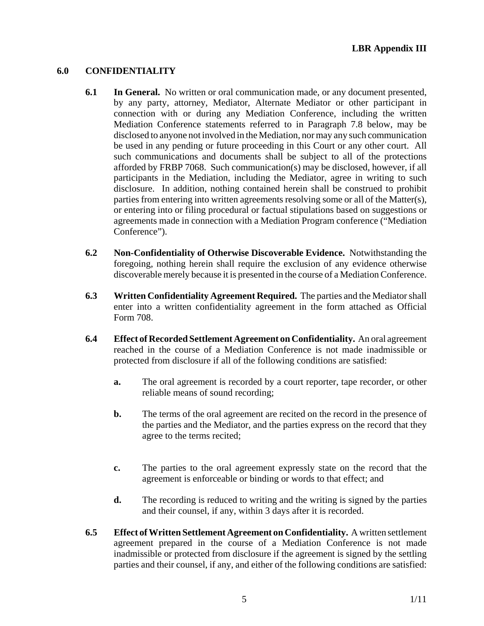### **6.0 CONFIDENTIALITY**

- **6.1 In General.** No written or oral communication made, or any document presented, by any party, attorney, Mediator, Alternate Mediator or other participant in connection with or during any Mediation Conference, including the written Mediation Conference statements referred to in Paragraph 7.8 below, may be disclosed to anyone not involved in the Mediation, nor may any such communication be used in any pending or future proceeding in this Court or any other court. All such communications and documents shall be subject to all of the protections afforded by FRBP 7068. Such communication(s) may be disclosed, however, if all participants in the Mediation, including the Mediator, agree in writing to such disclosure. In addition, nothing contained herein shall be construed to prohibit parties from entering into written agreements resolving some or all of the Matter(s), or entering into or filing procedural or factual stipulations based on suggestions or agreements made in connection with a Mediation Program conference ("Mediation Conference").
- **6.2 Non-Confidentiality of Otherwise Discoverable Evidence.** Notwithstanding the foregoing, nothing herein shall require the exclusion of any evidence otherwise discoverable merely because it is presented in the course of a Mediation Conference.
- **6.3 Written Confidentiality Agreement Required.** The parties and the Mediator shall enter into a written confidentiality agreement in the form attached as Official Form 708.
- **6.4 Effect of Recorded Settlement Agreement on Confidentiality.** An oral agreement reached in the course of a Mediation Conference is not made inadmissible or protected from disclosure if all of the following conditions are satisfied:
	- **a.** The oral agreement is recorded by a court reporter, tape recorder, or other reliable means of sound recording;
	- **b.** The terms of the oral agreement are recited on the record in the presence of the parties and the Mediator, and the parties express on the record that they agree to the terms recited;
	- **c.** The parties to the oral agreement expressly state on the record that the agreement is enforceable or binding or words to that effect; and
	- **d.** The recording is reduced to writing and the writing is signed by the parties and their counsel, if any, within 3 days after it is recorded.
- **6.5 Effect of Written Settlement Agreement on Confidentiality.** A written settlement agreement prepared in the course of a Mediation Conference is not made inadmissible or protected from disclosure if the agreement is signed by the settling parties and their counsel, if any, and either of the following conditions are satisfied: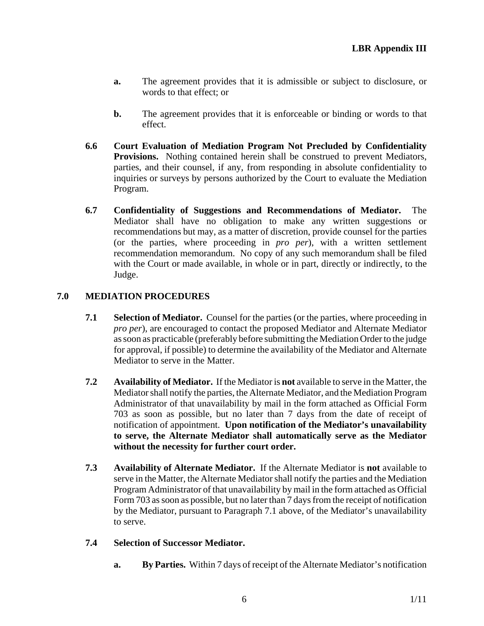- **a.** The agreement provides that it is admissible or subject to disclosure, or words to that effect; or
- **b.** The agreement provides that it is enforceable or binding or words to that effect.
- **6.6 Court Evaluation of Mediation Program Not Precluded by Confidentiality Provisions.** Nothing contained herein shall be construed to prevent Mediators, parties, and their counsel, if any, from responding in absolute confidentiality to inquiries or surveys by persons authorized by the Court to evaluate the Mediation Program.
- **6.7 Confidentiality of Suggestions and Recommendations of Mediator.** The Mediator shall have no obligation to make any written suggestions or recommendations but may, as a matter of discretion, provide counsel for the parties (or the parties, where proceeding in *pro per*), with a written settlement recommendation memorandum. No copy of any such memorandum shall be filed with the Court or made available, in whole or in part, directly or indirectly, to the Judge.

# **7.0 MEDIATION PROCEDURES**

- **7.1 Selection of Mediator.** Counsel for the parties (or the parties, where proceeding in *pro per*), are encouraged to contact the proposed Mediator and Alternate Mediator as soon as practicable (preferably before submitting the Mediation Order to the judge for approval, if possible) to determine the availability of the Mediator and Alternate Mediator to serve in the Matter.
- **7.2 Availability of Mediator.** If the Mediator is **not** available to serve in the Matter, the Mediator shall notify the parties, the Alternate Mediator, and the Mediation Program Administrator of that unavailability by mail in the form attached as Official Form 703 as soon as possible, but no later than 7 days from the date of receipt of notification of appointment. **Upon notification of the Mediator's unavailability to serve, the Alternate Mediator shall automatically serve as the Mediator without the necessity for further court order.**
- **7.3 Availability of Alternate Mediator.** If the Alternate Mediator is **not** available to serve in the Matter, the Alternate Mediator shall notify the parties and the Mediation Program Administrator of that unavailability by mail in the form attached as Official Form 703 as soon as possible, but no later than 7 days from the receipt of notification by the Mediator, pursuant to Paragraph 7.1 above, of the Mediator's unavailability to serve.

# **7.4 Selection of Successor Mediator.**

**a. By Parties.** Within 7 days of receipt of the Alternate Mediator's notification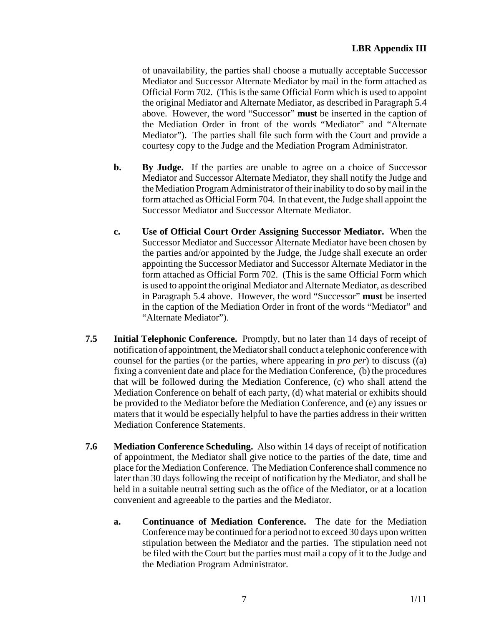of unavailability, the parties shall choose a mutually acceptable Successor Mediator and Successor Alternate Mediator by mail in the form attached as Official Form 702. (This is the same Official Form which is used to appoint the original Mediator and Alternate Mediator, as described in Paragraph 5.4 above. However, the word "Successor" **must** be inserted in the caption of the Mediation Order in front of the words "Mediator" and "Alternate Mediator"). The parties shall file such form with the Court and provide a courtesy copy to the Judge and the Mediation Program Administrator.

- **b.** By Judge. If the parties are unable to agree on a choice of Successor Mediator and Successor Alternate Mediator, they shall notify the Judge and the Mediation Program Administrator of their inability to do so by mail in the form attached as Official Form 704. In that event, the Judge shall appoint the Successor Mediator and Successor Alternate Mediator.
- **c. Use of Official Court Order Assigning Successor Mediator.** When the Successor Mediator and Successor Alternate Mediator have been chosen by the parties and/or appointed by the Judge, the Judge shall execute an order appointing the Successor Mediator and Successor Alternate Mediator in the form attached as Official Form 702. (This is the same Official Form which is used to appoint the original Mediator and Alternate Mediator, as described in Paragraph 5.4 above. However, the word "Successor" **must** be inserted in the caption of the Mediation Order in front of the words "Mediator" and "Alternate Mediator").
- **7.5 Initial Telephonic Conference.** Promptly, but no later than 14 days of receipt of notification of appointment, the Mediator shall conduct a telephonic conference with counsel for the parties (or the parties, where appearing in *pro per*) to discuss ((a) fixing a convenient date and place for the Mediation Conference, (b) the procedures that will be followed during the Mediation Conference, (c) who shall attend the Mediation Conference on behalf of each party, (d) what material or exhibits should be provided to the Mediator before the Mediation Conference, and (e) any issues or maters that it would be especially helpful to have the parties address in their written Mediation Conference Statements.
- **7.6 Mediation Conference Scheduling.** Also within 14 days of receipt of notification of appointment, the Mediator shall give notice to the parties of the date, time and place for the Mediation Conference. The Mediation Conference shall commence no later than 30 days following the receipt of notification by the Mediator, and shall be held in a suitable neutral setting such as the office of the Mediator, or at a location convenient and agreeable to the parties and the Mediator.
	- **a. Continuance of Mediation Conference.** The date for the Mediation Conference may be continued for a period not to exceed 30 days upon written stipulation between the Mediator and the parties. The stipulation need not be filed with the Court but the parties must mail a copy of it to the Judge and the Mediation Program Administrator.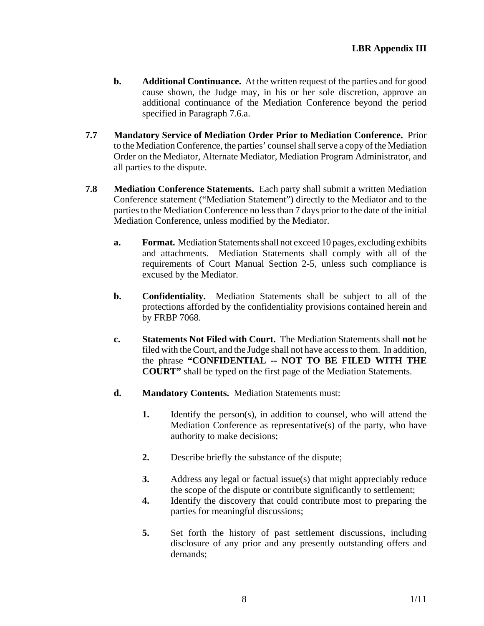- **b.** Additional Continuance. At the written request of the parties and for good cause shown, the Judge may, in his or her sole discretion, approve an additional continuance of the Mediation Conference beyond the period specified in Paragraph 7.6.a.
- **7.7 Mandatory Service of Mediation Order Prior to Mediation Conference.** Prior to the Mediation Conference, the parties' counsel shall serve a copy of the Mediation Order on the Mediator, Alternate Mediator, Mediation Program Administrator, and all parties to the dispute.
- **7.8 Mediation Conference Statements.** Each party shall submit a written Mediation Conference statement ("Mediation Statement") directly to the Mediator and to the parties to the Mediation Conference no less than 7 days prior to the date of the initial Mediation Conference, unless modified by the Mediator.
	- **a. Format.** Mediation Statements shall not exceed 10 pages, excluding exhibits and attachments. Mediation Statements shall comply with all of the requirements of Court Manual Section 2-5, unless such compliance is excused by the Mediator.
	- **b. Confidentiality.** Mediation Statements shall be subject to all of the protections afforded by the confidentiality provisions contained herein and by FRBP 7068.
	- **c. Statements Not Filed with Court.** The Mediation Statements shall **not** be filed with the Court, and the Judge shall not have access to them. In addition, the phrase **"CONFIDENTIAL -- NOT TO BE FILED WITH THE COURT"** shall be typed on the first page of the Mediation Statements.
	- **d. Mandatory Contents.** Mediation Statements must:
		- **1.** Identify the person(s), in addition to counsel, who will attend the Mediation Conference as representative(s) of the party, who have authority to make decisions;
		- **2.** Describe briefly the substance of the dispute;
		- **3.** Address any legal or factual issue(s) that might appreciably reduce the scope of the dispute or contribute significantly to settlement;
		- **4.** Identify the discovery that could contribute most to preparing the parties for meaningful discussions;
		- **5.** Set forth the history of past settlement discussions, including disclosure of any prior and any presently outstanding offers and demands;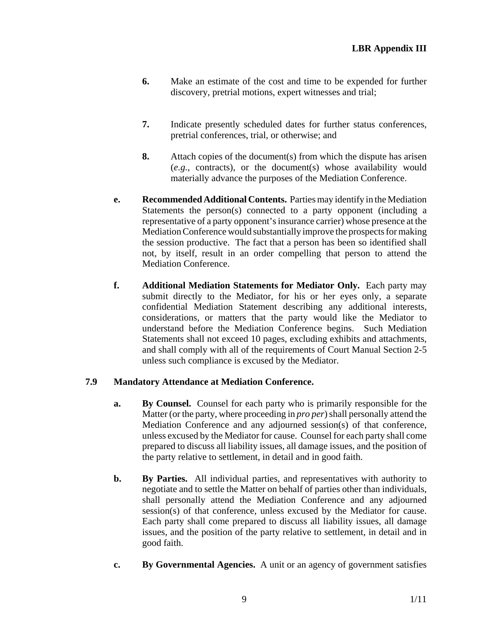- **6.** Make an estimate of the cost and time to be expended for further discovery, pretrial motions, expert witnesses and trial;
- **7.** Indicate presently scheduled dates for further status conferences, pretrial conferences, trial, or otherwise; and
- **8.** Attach copies of the document(s) from which the dispute has arisen (*e.g.*, contracts), or the document(s) whose availability would materially advance the purposes of the Mediation Conference.
- **e. Recommended Additional Contents.** Parties may identify in the Mediation Statements the person(s) connected to a party opponent (including a representative of a party opponent's insurance carrier) whose presence at the Mediation Conference would substantially improve the prospects for making the session productive. The fact that a person has been so identified shall not, by itself, result in an order compelling that person to attend the Mediation Conference.
- **f. Additional Mediation Statements for Mediator Only.** Each party may submit directly to the Mediator, for his or her eyes only, a separate confidential Mediation Statement describing any additional interests, considerations, or matters that the party would like the Mediator to understand before the Mediation Conference begins. Such Mediation Statements shall not exceed 10 pages, excluding exhibits and attachments, and shall comply with all of the requirements of Court Manual Section 2-5 unless such compliance is excused by the Mediator.

### **7.9 Mandatory Attendance at Mediation Conference.**

- **a. By Counsel.** Counsel for each party who is primarily responsible for the Matter (or the party, where proceeding in *pro per*) shall personally attend the Mediation Conference and any adjourned session(s) of that conference, unless excused by the Mediator for cause. Counsel for each party shall come prepared to discuss all liability issues, all damage issues, and the position of the party relative to settlement, in detail and in good faith.
- **b.** By Parties. All individual parties, and representatives with authority to negotiate and to settle the Matter on behalf of parties other than individuals, shall personally attend the Mediation Conference and any adjourned session(s) of that conference, unless excused by the Mediator for cause. Each party shall come prepared to discuss all liability issues, all damage issues, and the position of the party relative to settlement, in detail and in good faith.
- **c. By Governmental Agencies.** A unit or an agency of government satisfies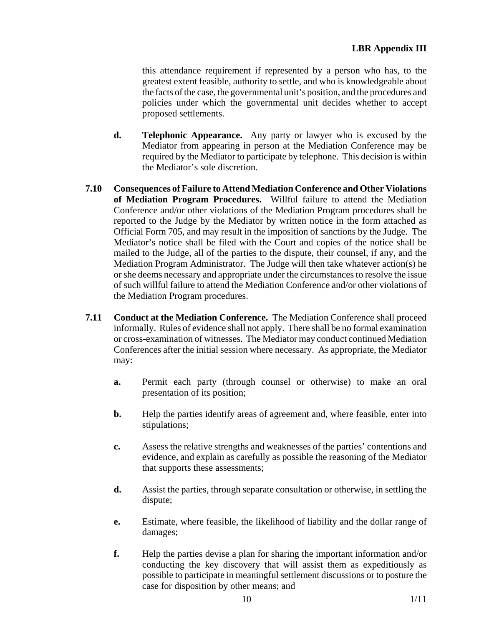this attendance requirement if represented by a person who has, to the greatest extent feasible, authority to settle, and who is knowledgeable about the facts of the case, the governmental unit's position, and the procedures and policies under which the governmental unit decides whether to accept proposed settlements.

- **d. Telephonic Appearance.** Any party or lawyer who is excused by the Mediator from appearing in person at the Mediation Conference may be required by the Mediator to participate by telephone. This decision is within the Mediator's sole discretion.
- **7.10 Consequences of Failure to Attend Mediation Conference and Other Violations of Mediation Program Procedures.** Willful failure to attend the Mediation Conference and/or other violations of the Mediation Program procedures shall be reported to the Judge by the Mediator by written notice in the form attached as Official Form 705, and may result in the imposition of sanctions by the Judge. The Mediator's notice shall be filed with the Court and copies of the notice shall be mailed to the Judge, all of the parties to the dispute, their counsel, if any, and the Mediation Program Administrator. The Judge will then take whatever action(s) he or she deems necessary and appropriate under the circumstances to resolve the issue of such willful failure to attend the Mediation Conference and/or other violations of the Mediation Program procedures.
- **7.11 Conduct at the Mediation Conference.** The Mediation Conference shall proceed informally. Rules of evidence shall not apply. There shall be no formal examination or cross-examination of witnesses. The Mediator may conduct continued Mediation Conferences after the initial session where necessary. As appropriate, the Mediator may:
	- **a.** Permit each party (through counsel or otherwise) to make an oral presentation of its position;
	- **b.** Help the parties identify areas of agreement and, where feasible, enter into stipulations;
	- **c.** Assess the relative strengths and weaknesses of the parties' contentions and evidence, and explain as carefully as possible the reasoning of the Mediator that supports these assessments;
	- **d.** Assist the parties, through separate consultation or otherwise, in settling the dispute;
	- **e.** Estimate, where feasible, the likelihood of liability and the dollar range of damages;
	- **f.** Help the parties devise a plan for sharing the important information and/or conducting the key discovery that will assist them as expeditiously as possible to participate in meaningful settlement discussions or to posture the case for disposition by other means; and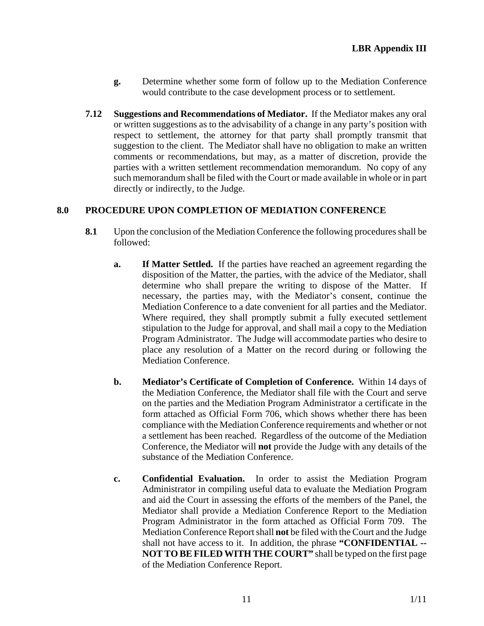- **g.** Determine whether some form of follow up to the Mediation Conference would contribute to the case development process or to settlement.
- **7.12 Suggestions and Recommendations of Mediator.** If the Mediator makes any oral or written suggestions as to the advisability of a change in any party's position with respect to settlement, the attorney for that party shall promptly transmit that suggestion to the client. The Mediator shall have no obligation to make an written comments or recommendations, but may, as a matter of discretion, provide the parties with a written settlement recommendation memorandum. No copy of any such memorandum shall be filed with the Court or made available in whole or in part directly or indirectly, to the Judge.

### **8.0 PROCEDURE UPON COMPLETION OF MEDIATION CONFERENCE**

- **8.1** Upon the conclusion of the Mediation Conference the following procedures shall be followed:
	- **a. If Matter Settled.** If the parties have reached an agreement regarding the disposition of the Matter, the parties, with the advice of the Mediator, shall determine who shall prepare the writing to dispose of the Matter. If necessary, the parties may, with the Mediator's consent, continue the Mediation Conference to a date convenient for all parties and the Mediator. Where required, they shall promptly submit a fully executed settlement stipulation to the Judge for approval, and shall mail a copy to the Mediation Program Administrator. The Judge will accommodate parties who desire to place any resolution of a Matter on the record during or following the Mediation Conference.
	- **b. Mediator's Certificate of Completion of Conference.** Within 14 days of the Mediation Conference, the Mediator shall file with the Court and serve on the parties and the Mediation Program Administrator a certificate in the form attached as Official Form 706, which shows whether there has been compliance with the Mediation Conference requirements and whether or not a settlement has been reached. Regardless of the outcome of the Mediation Conference, the Mediator will **not** provide the Judge with any details of the substance of the Mediation Conference.
	- **c. Confidential Evaluation.** In order to assist the Mediation Program Administrator in compiling useful data to evaluate the Mediation Program and aid the Court in assessing the efforts of the members of the Panel, the Mediator shall provide a Mediation Conference Report to the Mediation Program Administrator in the form attached as Official Form 709. The Mediation Conference Report shall **not** be filed with the Court and the Judge shall not have access to it. In addition, the phrase **"CONFIDENTIAL -- NOT TO BE FILED WITH THE COURT"** shall be typed on the first page of the Mediation Conference Report.